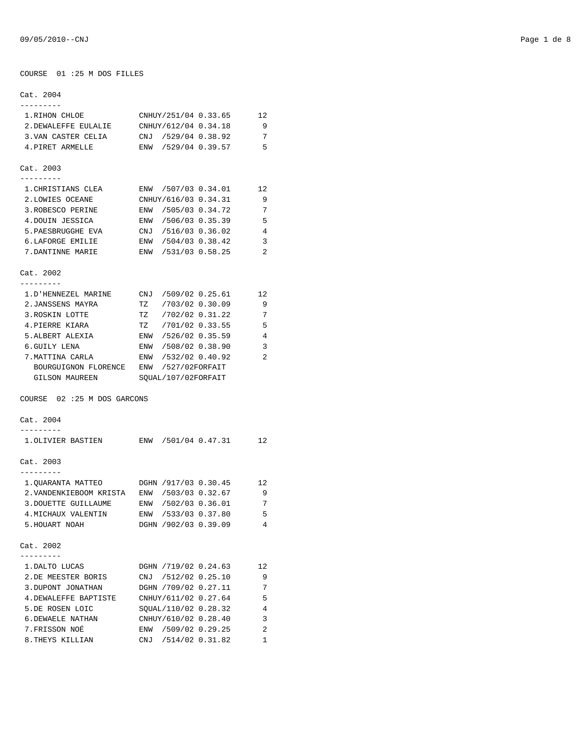#### COURSE 01 :25 M DOS FILLES

# Cat. 2004 --------- 1.RIHON CHLOE CNHUY/251/04 0.33.65 12 2.DEWALEFFE EULALIE CNHUY/612/04 0.34.18 9 3.VAN CASTER CELIA CNJ /529/04 0.38.92 7 4.PIRET ARMELLE ENW /529/04 0.39.57 5 Cat. 2003 --------- 1.CHRISTIANS CLEA ENW /507/03 0.34.01 12 2.LOWIES OCEANE CNHUY/616/03 0.34.31 9 3.ROBESCO PERINE ENW /505/03 0.34.72 7 4.DOUIN JESSICA ENW /506/03 0.35.39 5<br>5.PAESBRUGGHE EVA CNJ /516/03 0.36.02 4 5.PAESBRUGGHE EVA CNJ /516/03 0.36.02 4 6.LAFORGE EMILIE ENW /504/03 0.38.42 3 7.DANTINNE MARIE ENW /531/03 0.58.25 2 Cat. 2002 --------- 1.D'HENNEZEL MARINE CNJ /509/02 0.25.61 12 2.JANSSENS MAYRA TZ /703/02 0.30.09 9 3. ROSKIN LOTTE TZ /702/02 0.31.22 7 4.PIERRE KIARA TZ /701/02 0.33.55 5 5.ALBERT ALEXIA ENW /526/02 0.35.59 4 6.GUILY LENA ENW /508/02 0.38.90 3 7.MATTINA CARLA ENW /532/02 0.40.92 2 BOURGUIGNON FLORENCE ENW /527/02FORFAIT GILSON MAUREEN SQUAL/107/02FORFAIT COURSE 02 :25 M DOS GARCONS Cat. 2004 --------- 1.OLIVIER BASTIEN ENW /501/04 0.47.31 12 Cat. 2003 --------- 1.QUARANTA MATTEO DGHN /917/03 0.30.45 12 2.VANDENKIEBOOM KRISTA ENW /503/03 0.32.67 9 3.DOUETTE GUILLAUME ENW /502/03 0.36.01 7 4.MICHAUX VALENTIN ENW /533/03 0.37.80 5 5.HOUART NOAH DGHN /902/03 0.39.09 4 Cat. 2002 --------- 1.DALTO LUCAS DGHN /719/02 0.24.63 12 2.DE MEESTER BORIS CNJ /512/02 0.25.10 9 3.DUPONT JONATHAN DGHN /709/02 0.27.11 7 4.DEWALEFFE BAPTISTE CNHUY/611/02 0.27.64 5 5.DE ROSEN LOIC SQUAL/110/02 0.28.32 4 6.DEWAELE NATHAN CNHUY/610/02 0.28.40 3 7.FRISSON NOÉ ENW /509/02 0.29.25 2

8. THEYS KILLIAN CNJ /514/02 0.31.82 1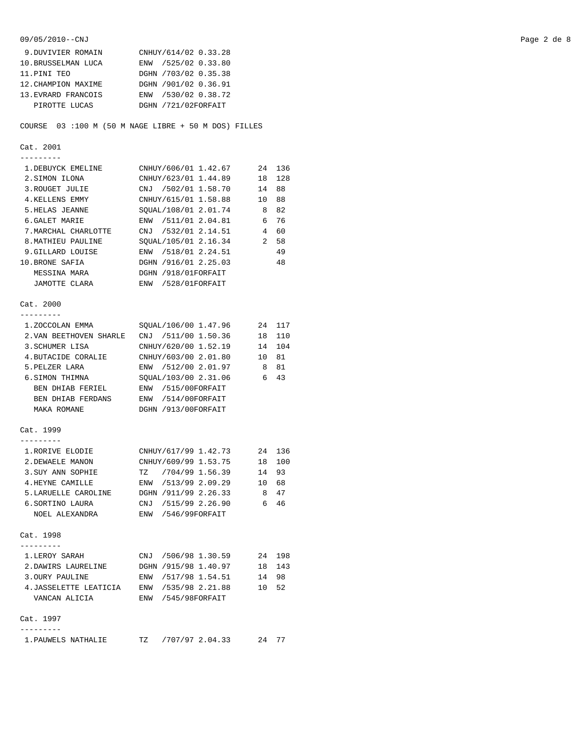9.DUVIVIER ROMAIN CNHUY/614/02 0.33.28 10.BRUSSELMAN LUCA ENW /525/02 0.33.80 11. PINI TEO DGHN /703/02 0.35.38<br>12. CHAMPION MAXIME DGHN /901/02 0.36.91 DGHN /901/02 0.36.91 13.EVRARD FRANCOIS ENW /530/02 0.38.72 PIROTTE LUCAS DGHN /721/02FORFAIT COURSE 03 :100 M (50 M NAGE LIBRE + 50 M DOS) FILLES Cat. 2001 --------- 1.DEBUYCK EMELINE CNHUY/606/01 1.42.67 24 136 2.SIMON ILONA CNHUY/623/01 1.44.89 18 128 3.ROUGET JULIE CNJ /502/01 1.58.70 14 88 4.KELLENS EMMY CNHUY/615/01 1.58.88 10 88 5.HELAS JEANNE SQUAL/108/01 2.01.74 8 82 6.GALET MARIE ENW /511/01 2.04.81 6 76 6. GALET MARIE 2001 2.000 2.000 2.14.51 4 60 8. MATHIEU PAULINE SQUAL/105/01 2.16.34 2 58<br>9. GILLARD LOUISE ENW /518/01 2.24.51 49 ENW /518/01 2.24.51 49 10.BRONE SAFIA DGHN /916/01 2.25.03 48 MESSINA MARA DGHN /918/01FORFAIT JAMOTTE CLARA ENW /528/01FORFAIT Cat. 2000 --------- 1.ZOCCOLAN EMMA SQUAL/106/00 1.47.96 24 117 2.VAN BEETHOVEN SHARLE CNJ /511/00 1.50.36 18 110 3.SCHUMER LISA CNHUY/620/00 1.52.19 14 104 4.BUTACIDE CORALIE CNHUY/603/00 2.01.80 10 81 5.PELZER LARA ENW /512/00 2.01.97 8 81 6.SIMON THIMNA SQUAL/103/00 2.31.06 6 43 BEN DHIAB FERIEL ENW /515/00FORFAIT BEN DHIAB FERDANS ENW /514/00FORFAIT MAKA ROMANE DGHN /913/00FORFAIT Cat. 1999 --------- 1.RORIVE ELODIE CNHUY/617/99 1.42.73 24 136 2. DEWAELE MANON CNHUY/609/99 1.53.75 18 100 3. SUY ANN SOPHIE TZ /704/99 1.56.39 14 93 4.HEYNE CAMILLE ENW /513/99 2.09.29 10 68 5.LARUELLE CAROLINE DGHN /911/99 2.26.33 8 47 6.SORTINO LAURA CNJ /515/99 2.26.90 6 46 NOEL ALEXANDRA ENW /546/99FORFAIT Cat. 1998 --------- 1.LEROY SARAH CNJ /506/98 1.30.59 24 198 2.DAWIRS LAURELINE DGHN /915/98 1.40.97 18 143 3.OURY PAULINE ENW /517/98 1.54.51 14 98<br>4.JASSELETTE LEATICIA ENW /535/98 2.21.88 10 52 4.JASSELETTE LEATICIA ENW /535/98 2.21.88 VANCAN ALICIA ENW /545/98FORFAIT Cat. 1997 ---------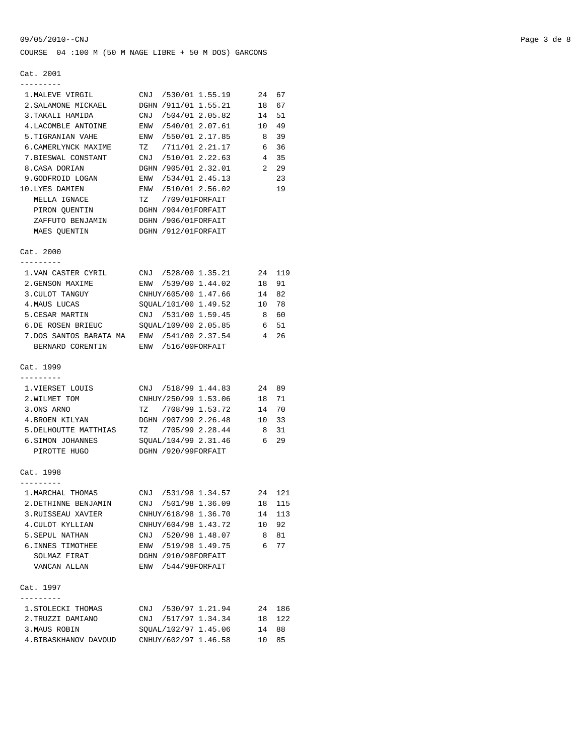COURSE 04 :100 M (50 M NAGE LIBRE + 50 M DOS) GARCONS

## Cat. 2001

| 1. MALEVE VIRGIL CNJ /530/01 1.55.19 24 67      |                   |                         |                |    |
|-------------------------------------------------|-------------------|-------------------------|----------------|----|
| 2. SALAMONE MICKAEL DGHN /911/01 1.55.21 18     |                   |                         |                | 67 |
|                                                 |                   |                         |                |    |
| 4. LACOMBLE ANTOINE ENW /540/01 2.07.61 10 49   |                   |                         |                |    |
| 5. TIGRANIAN VAHE ENW / 550/01 2.17.85 8        |                   |                         |                | 39 |
| 6. CAMERLYNCK MAXIME TZ /711/01 2.21.17 6 36    |                   |                         |                |    |
| 7.BIESWAL CONSTANT CNJ /510/01 2.22.63          |                   |                         | $\overline{4}$ | 35 |
| 8.CASA DORIAN                                   |                   | DGHN /905/01 2.32.01    | $\overline{2}$ | 29 |
| 9. GODFROID LOGAN ENW /534/01 2.45.13           |                   |                         |                | 23 |
| 10.LYES DAMIEN                                  |                   | ENW /510/01 2.56.02     |                | 19 |
| MELLA IGNACE                                    | TZ /709/01FORFAIT |                         |                |    |
| PIRON OUENTIN DGHN /904/01FORFAIT               |                   |                         |                |    |
| ZAFFUTO BENJAMIN DGHN /906/01FORFAIT            |                   |                         |                |    |
| MAES QUENTIN DGHN /912/01FORFAIT                |                   |                         |                |    |
| Cat. 2000                                       |                   |                         |                |    |
| 1. VAN CASTER CYRIL CNJ / 528/00 1.35.21 24 119 |                   |                         |                |    |
| 2. GENSON MAXIME 60 ENW /539/00 1.44.02 18      |                   |                         |                | 91 |
| 3. CULOT TANGUY CNHUY/605/00 1.47.66 14 82      |                   |                         |                |    |
| 4.MAUS LUCAS                                    |                   | SOUAL/101/00 1.49.52 10 |                | 78 |
| 5. CESAR MARTIN CNJ / 531/00 1.59.45 8          |                   |                         |                | 60 |
| 6.DE ROSEN BRIEUC SQUAL/109/00 2.05.85 6 51     |                   |                         |                |    |
| 7.DOS SANTOS BARATA MA ENW /541/00 2.37.54 4    |                   |                         |                | 26 |
| BERNARD CORENTIN ENW /516/00FORFAIT             |                   |                         |                |    |
| Cat. 1999                                       |                   |                         |                |    |

#### ---------

| 1. VIERSET LOUIS      | CNJ /518/99 1.44.83  | 24 89 |     |
|-----------------------|----------------------|-------|-----|
| 2. WILMET TOM         | CNHUY/250/99 1.53.06 | 18    | 71  |
| 3.ONS ARNO            | TZ /708/99 1.53.72   | 14    | 70  |
| 4. BROEN KILYAN       | DGHN /907/99 2.26.48 | 1 N   | -33 |
| 5. DELHOUTTE MATTHIAS | TZ /705/99 2.28.44   |       | -31 |
| 6. SIMON JOHANNES     | SOUAL/104/99 2.31.46 |       | -29 |
| PIROTTE HUGO          | DGHN /920/99FORFAIT  |       |     |

# Cat. 1998

| 1. MARCHAL THOMAS    | CNJ |                     | /531/98 1.34.57      |     | 2.4 12.1 |
|----------------------|-----|---------------------|----------------------|-----|----------|
| 2. DETHINNE BENJAMIN | CNJ | /501/98 1.36.09     |                      | 18  | 115      |
| 3. RUISSEAU XAVIER   |     |                     | CNHUY/618/98 1.36.70 | 14  | 113      |
| 4. CULOT KYLLIAN     |     |                     | CNHUY/604/98 1.43.72 | 1 O | 92       |
| 5. SEPUL NATHAN      | CNJ | /520/98 1.48.07     |                      | 8   | 81       |
| 6. INNES TIMOTHEE    | ENW | /519/98 1.49.75     |                      | 6   | 77       |
| SOLMAZ FIRAT         |     | DGHN /910/98FORFAIT |                      |     |          |
| VANCAN ALLAN         | ENW | /544/98FORFAIT      |                      |     |          |
|                      |     |                     |                      |     |          |

## Cat. 1997

| 1. STOLECKI THOMAS    | CNJ /530/97 1.21.94  |       | 24 186 |
|-----------------------|----------------------|-------|--------|
| 2. TRUZZI DAMIANO     | CNJ /517/97 1.34.34  |       | 18 122 |
| 3. MAUS ROBIN         | SOUAL/102/97 1.45.06 | 14 88 |        |
| 4. BIBASKHANOV DAVOUD | CNHUY/602/97 1.46.58 | 10 85 |        |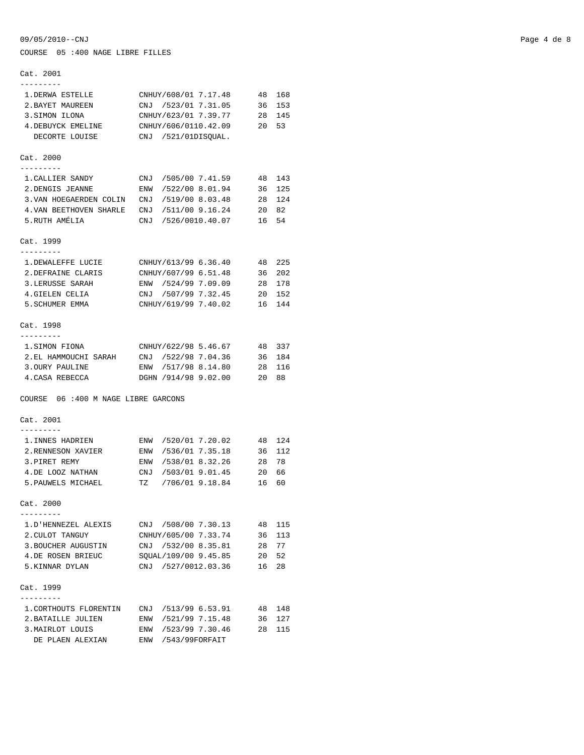Cat. 2001 --------- 1.DERWA ESTELLE CNHUY/608/01 7.17.48 48 168 2. BAYET MAUREEN CNJ /523/01 7.31.05 36 153<br>3. SIMON ILONA CNHUY/623/01 7.39.77 28 145 3. SIMON ILONA CNHUY/623/01 7.39.77 4.DEBUYCK EMELINE CNHUY/606/0110.42.09 20 53 DECORTE LOUISE CNJ /521/01DISQUAL. Cat. 2000 --------- 1.CALLIER SANDY CNJ /505/00 7.41.59 48 143 2.DENGIS JEANNE ENW /522/00 8.01.94 36 125 3.VAN HOEGAERDEN COLIN CNJ /519/00 8.03.48 28 124 4.VAN BEETHOVEN SHARLE CNJ /511/00 9.16.24 20 82 5.RUTH AMÉLIA CNJ /526/0010.40.07 16 54 Cat. 1999 --------- 1.DEWALEFFE LUCIE CNHUY/613/99 6.36.40 48 225<br>2.DEFRAINE CLARIS CNHUY/607/99 6.51.48 36 202 CNHUY/607/99 6.51.48 36 202 3.LERUSSE SARAH ENW /524/99 7.09.09 28 178 4.GIELEN CELIA CNJ /507/99 7.32.45 20 152 5.SCHUMER EMMA CNHUY/619/99 7.40.02 16 144 Cat. 1998 --------- 1.SIMON FIONA CNHUY/622/98 5.46.67 48 337 2.EL HAMMOUCHI SARAH CNJ /522/98 7.04.36 36 184 3.OURY PAULINE ENW /517/98 8.14.80 4.CASA REBECCA DGHN /914/98 9.02.00 20 88 COURSE 06 :400 M NAGE LIBRE GARCONS Cat. 2001 --------- 1.INNES HADRIEN ENW /520/01 7.20.02 48 124 2.RENNESON XAVIER ENW /536/01 7.35.18 36 112 3.PIRET REMY ENW /538/01 8.32.26 28 78 4.DE LOOZ NATHAN CNJ /503/01 9.01.45 20 66 5.PAUWELS MICHAEL TZ /706/01 9.18.84 16 60 Cat. 2000 --------- 1.D'HENNEZEL ALEXIS CNJ /508/00 7.30.13 48 115 2.CULOT TANGUY CNHUY/605/00 7.33.74 36 113 3.BOUCHER AUGUSTIN CNJ /532/00 8.35.81 28 77 4.DE ROSEN BRIEUC SQUAL/109/00 9.45.85 20 52 5.KINNAR DYLAN CNJ /527/0012.03.36 16 28 Cat. 1999 --------- 1.CORTHOUTS FLORENTIN CNJ /513/99 6.53.91 48 148 2.BATAILLE JULIEN ENW /521/99 7.15.48 36 127 3.MAIRLOT LOUIS ENW /523/99 7.30.46 28 115

COURSE 05 :400 NAGE LIBRE FILLES

DE PLAEN ALEXIAN ENW /543/99FORFAIT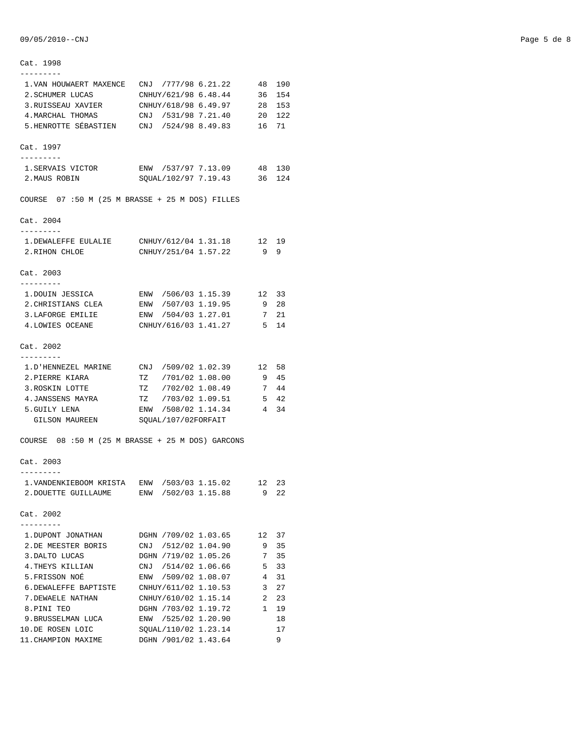| Cat. 1998                                          |                                                 |                                |          |
|----------------------------------------------------|-------------------------------------------------|--------------------------------|----------|
|                                                    | 1. VAN HOUWAERT MAXENCE CNJ / 777/98 6.21.22    |                                | 48 190   |
| 2. SCHUMER LUCAS                                   | CNHUY/621/98 6.48.44                            | 36                             | 154      |
| 3.RUISSEAU XAVIER                                  | CNHUY/618/98 6.49.97                            | 28                             | 153      |
| 4. MARCHAL THOMAS                                  | CNJ /531/98 7.21.40                             | 20                             | 122      |
|                                                    | 5.HENROTTE SÉBASTIEN CNJ /524/98 8.49.83 16 71  |                                |          |
|                                                    |                                                 |                                |          |
| Cat. 1997<br>----------                            |                                                 |                                |          |
| 1.SERVAIS VICTOR                                   | ENW /537/97 7.13.09                             | 48                             | 130      |
| 2. MAUS ROBIN                                      | SOUAL/102/97 7.19.43 36 124                     |                                |          |
|                                                    |                                                 |                                |          |
| COURSE $07 : 50 M (25 M BRASSE + 25 M DOS) FILLES$ |                                                 |                                |          |
| Cat. 2004<br>.                                     |                                                 |                                |          |
|                                                    | 1. DEWALEFFE EULALIE CNHUY/612/04 1.31.18 12 19 |                                |          |
| 2.RIHON CHLOE                                      | CNHUY/251/04 1.57.22                            | 99                             |          |
|                                                    |                                                 |                                |          |
| Cat. 2003<br>.                                     |                                                 |                                |          |
| 1.DOUIN JESSICA                                    | ENW /506/03 1.15.39                             | 12                             | 33       |
| 2. CHRISTIANS CLEA                                 | ENW /507/03 1.19.95                             | 9                              | 28       |
| 3. LAFORGE EMILIE                                  | ENW /504/03 1.27.01                             |                                | 7 21     |
| 4.LOWIES OCEANE                                    | CNHUY/616/03 1.41.27                            | 5 14                           |          |
|                                                    |                                                 |                                |          |
| Cat. 2002                                          |                                                 |                                |          |
| . _ _ _ _ _ _ _ _                                  |                                                 |                                |          |
|                                                    |                                                 |                                | 58       |
| 2.PIERRE KIARA                                     | TZ /701/02 1.08.00                              | - 9                            | 45       |
| 3.ROSKIN LOTTE                                     | TZ /702/02 1.08.49                              |                                | 7 44     |
| 4.JANSSENS MAYRA                                   | /703/02 1.09.51<br>TZ                           |                                | 5 42     |
| 5.GUILY LENA                                       | ENW /508/02 1.14.34                             | $\overline{4}$                 | 34       |
| GILSON MAUREEN                                     | SQUAL/107/02FORFAIT                             |                                |          |
| COURSE 08 :50 M (25 M BRASSE + 25 M DOS) GARCONS   |                                                 |                                |          |
| Cat. 2003<br>---------                             |                                                 |                                |          |
|                                                    |                                                 |                                |          |
|                                                    | 1. VANDENKIEBOOM KRISTA ENW /503/03 1.15.02 12  |                                | 23       |
| 2.DOUETTE GUILLAUME                                | ENW /502/03 1.15.88                             | 9                              | 22       |
| Cat. 2002                                          |                                                 |                                |          |
|                                                    |                                                 |                                |          |
| 1.DUPONT JONATHAN                                  | DGHN /709/02 1.03.65                            | 12                             | 37       |
| 2.DE MEESTER BORIS                                 | CNJ /512/02 1.04.90                             | 9                              | 35       |
| 3.DALTO LUCAS                                      | DGHN /719/02 1.05.26<br>CNJ /514/02 1.06.66     | 7                              | 35       |
| 4.THEYS KILLIAN                                    |                                                 | 5                              | 33       |
| 5. FRISSON NOE                                     | ENW /509/02 1.08.07                             | 4                              | 31       |
| 6. DEWALEFFE BAPTISTE                              | CNHUY/611/02 1.10.53                            | 3                              | 27       |
| 7.DEWAELE NATHAN                                   | CNHUY/610/02 1.15.14                            | $\overline{2}$<br>$\mathbf{1}$ | 23       |
| 8.PINI TEO                                         | DGHN /703/02 1.19.72                            |                                | 19       |
| 9.BRUSSELMAN LUCA                                  | ENW /525/02 1.20.90<br>SQUAL/110/02 1.23.14     |                                | 18       |
| 10.DE ROSEN LOIC                                   |                                                 |                                | 17<br>9. |
| 11. CHAMPION MAXIME                                | DGHN /901/02 1.43.64                            |                                |          |

## 09/05/2010--CNJ Page 5 de 8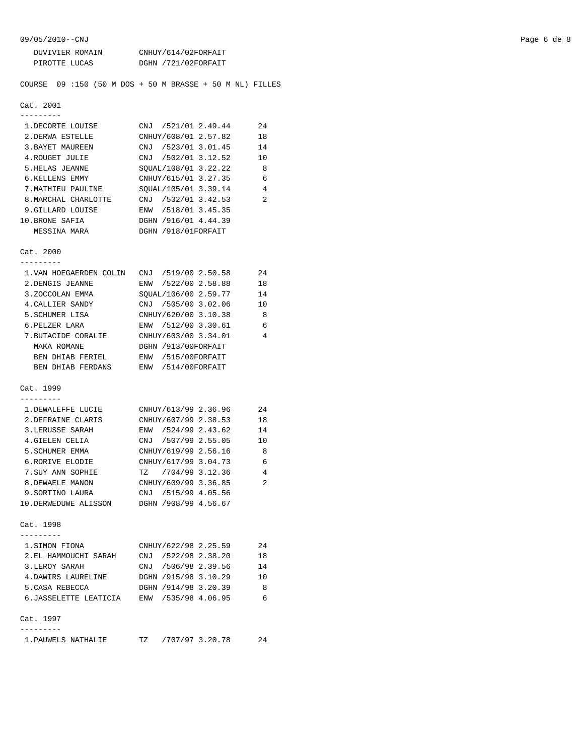09/05/2010--CNJ Page 6 de 8

| DUVIVIER ROMAIN | CNHUY/614/02FORFAIT |
|-----------------|---------------------|
| PIROTTE LUCAS   | DGHN /721/02FORFAIT |

COURSE 09 :150 (50 M DOS + 50 M BRASSE + 50 M NL) FILLES

```
Cat. 2001
```

| 1. DECORTE LOUISE    | CNJ /521/01 2.49.44  | 2.4 |
|----------------------|----------------------|-----|
| 2. DERWA ESTELLE     | CNHUY/608/01 2.57.82 | 1 R |
| 3. BAYET MAUREEN     | CNJ /523/01 3.01.45  | 14  |
| 4. ROUGET JULIE      | CNJ /502/01 3.12.52  | 10  |
| 5.HELAS JEANNE       | SOUAL/108/01 3.22.22 | 8   |
| 6.KELLENS EMMY       | CNHUY/615/01 3.27.35 | 6   |
| 7. MATHIEU PAULINE   | SOUAL/105/01 3.39.14 | 4   |
| 8. MARCHAL CHARLOTTE | CNJ /532/01 3.42.53  | 2   |
| 9.GILLARD LOUISE     | ENW /518/01 3.45.35  |     |
| 10. BRONE SAFIA      | DGHN /916/01 4.44.39 |     |
| MESSINA MARA         | DGHN /918/01FORFAIT  |     |

Cat. 2000

| 1. VAN HOEGAERDEN COLIN | CNJ /519/00 2.50.58    | 24 |
|-------------------------|------------------------|----|
| 2. DENGIS JEANNE        | /522/00 2.58.88<br>ENW | 18 |
| 3.ZOCCOLAN EMMA         | SOUAL/106/00 2.59.77   | 14 |
| 4. CALLIER SANDY        | /505/00 3.02.06<br>CNJ | 10 |
| 5. SCHUMER LISA         | CNHUY/620/00 3.10.38   | 8  |
| 6. PELZER LARA          | ENW /512/00 3.30.61    | 6  |
| 7. BUTACIDE CORALIE     | CNHUY/603/00 3.34.01   | 4  |
| MAKA ROMANE             | DGHN /913/00FORFAIT    |    |
| BEN DHIAB FERIEL        | /515/00FORFAIT<br>ENW  |    |
| DHIAB FERDANS<br>BEN.   | /514/00FORFAIT<br>ENW  |    |

#### Cat. 1999 ---------

| 1. DEWALEFFE LUCIE   | CNHUY/613/99 2.36.96   | 24 |
|----------------------|------------------------|----|
| 2. DEFRAINE CLARIS   | CNHUY/607/99 2.38.53   | 18 |
| 3. LERUSSE SARAH     | /524/99 2.43.62<br>ENW | 14 |
| 4. GIELEN CELIA      | CNJ /507/99 2.55.05    | 10 |
| 5. SCHUMER EMMA      | CNHUY/619/99 2.56.16   | 8  |
| 6.RORIVE ELODIE      | CNHUY/617/99 3.04.73   | 6  |
| 7. SUY ANN SOPHIE    | TZ /704/99 3.12.36     | 4  |
| 8. DEWAELE MANON     | CNHUY/609/99 3.36.85   | 2  |
| 9. SORTINO LAURA     | /515/99 4.05.56<br>CNJ |    |
| 10.DERWEDUWE ALISSON | DGHN /908/99 4.56.67   |    |

## Cat. 1998

| 1.SIMON FIONA          | CNHUY/622/98 2.25.59 | 2.4 |
|------------------------|----------------------|-----|
| 2. EL HAMMOUCHI SARAH  | CNJ /522/98 2.38.20  | 18  |
| 3.LEROY SARAH          | CNJ /506/98 2.39.56  | 14  |
| 4. DAWIRS LAURELINE    | DGHN /915/98 3.10.29 | 10  |
| 5. CASA REBECCA        | DGHN /914/98 3.20.39 | 8   |
| 6. JASSELETTE LEATICIA | ENW /535/98 4.06.95  | 6   |
|                        |                      |     |
| Cat. 1997              |                      |     |
|                        |                      |     |

| 1. PAUWELS NATHALIE |  | ᇭ |  | /707/97 3.20.78 |  |
|---------------------|--|---|--|-----------------|--|
|---------------------|--|---|--|-----------------|--|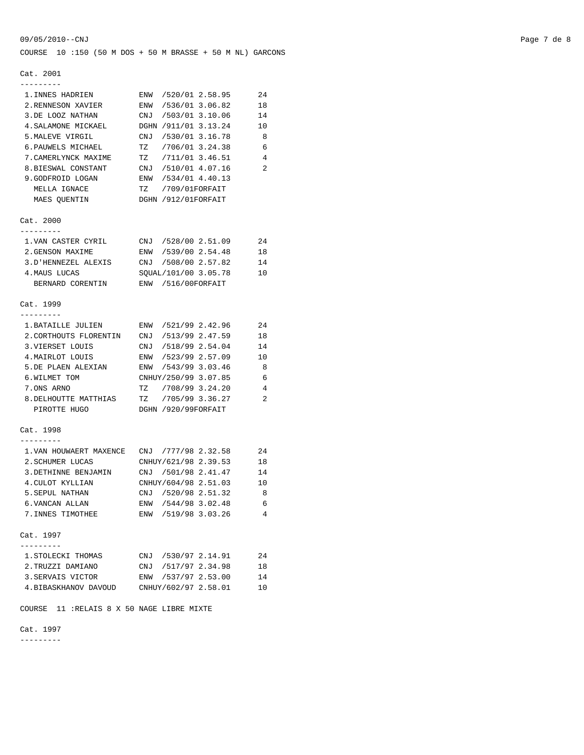COURSE 10 :150 (50 M DOS + 50 M BRASSE + 50 M NL) GARCONS

#### Cat. 2001

| Cal. 2001                                         |                        |                |   |
|---------------------------------------------------|------------------------|----------------|---|
| ---------<br>1. INNES HADRIEN                     | ENW /520/01 2.58.95    | 24             |   |
| 2.RENNESON XAVIER                                 | ENW /536/01 3.06.82    | 18             |   |
| 3.DE LOOZ NATHAN                                  | CNJ /503/01 3.10.06    | 14             |   |
| 4. SALAMONE MICKAEL                               | DGHN /911/01 3.13.24   | 10             |   |
| 5. MALEVE VIRGIL                                  | CNJ /530/01 3.16.78    | - 8            |   |
| 6. PAUWELS MICHAEL                                | TZ /706/01 3.24.38     | - 6            |   |
| 7. CAMERLYNCK MAXIME                              | TZ /711/01 3.46.51     | $\overline{4}$ |   |
| 8.BIESWAL CONSTANT                                | CNJ /510/01 4.07.16    |                | 2 |
| 9.GODFROID LOGAN                                  | ENW /534/01 4.40.13    |                |   |
| MELLA IGNACE                                      | TZ /709/01FORFAIT      |                |   |
| MAES QUENTIN                                      | DGHN /912/01FORFAIT    |                |   |
| Cat. 2000                                         |                        |                |   |
| ---------                                         |                        |                |   |
| 1. VAN CASTER CYRIL CNJ /528/00 2.51.09           |                        | -24            |   |
| 2. GENSON MAXIME                                  | ENW /539/00 2.54.48    | 18             |   |
| 3.D'HENNEZEL ALEXIS                               | CNJ /508/00 2.57.82    | 14             |   |
| 4. MAUS LUCAS                                     | SQUAL/101/00 3.05.78   | 10             |   |
| BERNARD CORENTIN                                  | ENW /516/00FORFAIT     |                |   |
| Cat. 1999                                         |                        |                |   |
| - - - - - - - -                                   |                        |                |   |
| 1.BATAILLE JULIEN                                 | ENW /521/99 2.42.96    | 24             |   |
| 2. CORTHOUTS FLORENTIN                            | CNJ /513/99 2.47.59    | 18             |   |
| 3. VIERSET LOUIS                                  | CNJ /518/99 2.54.04    | 14             |   |
| 4.MAIRLOT LOUIS                                   | ENW /523/99 2.57.09    | 10             |   |
| 5.DE PLAEN ALEXIAN                                | ENW /543/99 3.03.46    | $_{\rm 8}$     |   |
| 6.WILMET TOM                                      | CNHUY/250/99 3.07.85   | - 6            |   |
| 7.ONS ARNO                                        | TZ /708/99 3.24.20     | $\overline{4}$ |   |
| 8. DELHOUTTE MATTHIAS                             | TZ /705/99 3.36.27     | 2              |   |
| PIROTTE HUGO                                      | DGHN /920/99FORFAIT    |                |   |
| Cat. 1998                                         |                        |                |   |
| .<br>1. VAN HOUWAERT MAXENCE CNJ / 777/98 2.32.58 |                        | 24             |   |
|                                                   | CNHUY/621/98 2.39.53   |                |   |
| 2.SCHUMER LUCAS<br>3. DETHINNE BENJAMIN           |                        | 18             |   |
|                                                   | CNJ /501/98 2.41.47    | 14             |   |
| 4. CULOT KYLLIAN                                  | CNHUY/604/98 2.51.03   | 10             |   |
| 5. SEPUL NATHAN                                   | CNJ /520/98 2.51.32    | - 8            |   |
| 6.VANCAN ALLAN                                    | ENW /544/98 3.02.48    |                | 6 |
| 7. INNES TIMOTHEE                                 | ENW /519/98 3.03.26    |                | 4 |
| Cat. 1997                                         |                        |                |   |
| 1. STOLECKI THOMAS                                | CNJ /530/97 2.14.91    | 24             |   |
| 2. TRUZZI DAMIANO                                 | /517/97 2.34.98<br>CNJ | 18             |   |
| 3. SERVAIS VICTOR                                 | ENW /537/97 2.53.00    | 14             |   |
| 4. BIBASKHANOV DAVOUD                             | CNHUY/602/97 2.58.01   | 10             |   |
|                                                   |                        |                |   |

COURSE 11 :RELAIS 8 X 50 NAGE LIBRE MIXTE

Cat. 1997

---------